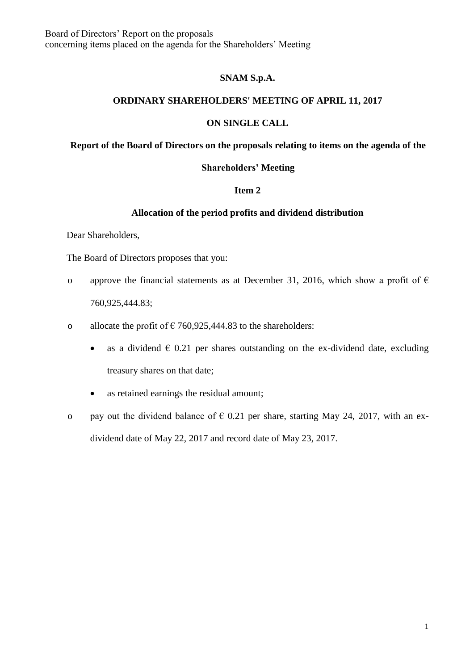Board of Directors' Report on the proposals concerning items placed on the agenda for the Shareholders' Meeting

## **SNAM S.p.A.**

## **ORDINARY SHAREHOLDERS' MEETING OF APRIL 11, 2017**

## **ON SINGLE CALL**

# **Report of the Board of Directors on the proposals relating to items on the agenda of the**

#### **Shareholders' Meeting**

## **Item 2**

# **Allocation of the period profits and dividend distribution**

Dear Shareholders,

The Board of Directors proposes that you:

- o approve the financial statements as at December 31, 2016, which show a profit of  $\epsilon$ 760,925,444.83;
- o allocate the profit of  $\epsilon$  760,925,444.83 to the shareholders:
	- as a dividend  $\epsilon$  0.21 per shares outstanding on the ex-dividend date, excluding treasury shares on that date;
	- as retained earnings the residual amount;
- o pay out the dividend balance of  $\epsilon$  0.21 per share, starting May 24, 2017, with an exdividend date of May 22, 2017 and record date of May 23, 2017.